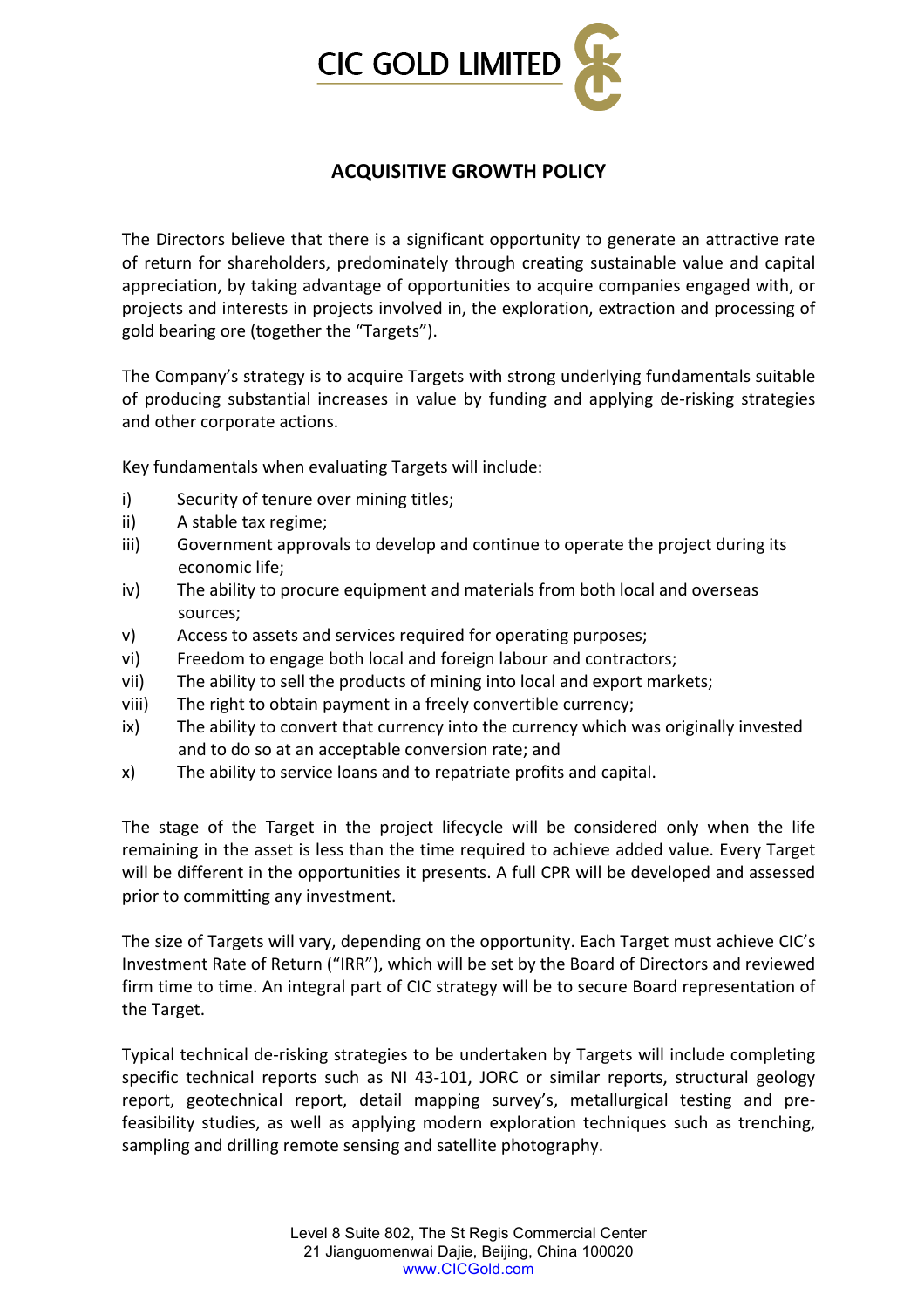

## **ACQUISITIVE!GROWTH!POLICY!**

The Directors believe that there is a significant opportunity to generate an attractive rate of return for shareholders, predominately through creating sustainable value and capital appreciation, by taking advantage of opportunities to acquire companies engaged with, or projects and interests in projects involved in, the exploration, extraction and processing of gold bearing ore (together the "Targets").

The Company's strategy is to acquire Targets with strong underlying fundamentals suitable of producing substantial increases in value by funding and applying de-risking strategies and other corporate actions.

Key fundamentals when evaluating Targets will include:

- i) Security of tenure over mining titles;
- ii) A stable tax regime:
- iii) Government approvals to develop and continue to operate the project during its economic life:
- iv) The ability to procure equipment and materials from both local and overseas sources;
- v) Access to assets and services required for operating purposes;
- vi) Freedom to engage both local and foreign labour and contractors;
- vii) The ability to sell the products of mining into local and export markets;
- viii) The right to obtain payment in a freely convertible currency;
- ix) The ability to convert that currency into the currency which was originally invested and to do so at an acceptable conversion rate; and
- x) The ability to service loans and to repatriate profits and capital.

The stage of the Target in the project lifecycle will be considered only when the life remaining in the asset is less than the time required to achieve added value. Every Target will be different in the opportunities it presents. A full CPR will be developed and assessed prior to committing any investment.

The size of Targets will vary, depending on the opportunity. Each Target must achieve CIC's Investment Rate of Return ("IRR"), which will be set by the Board of Directors and reviewed firm time to time. An integral part of CIC strategy will be to secure Board representation of the Target.

Typical technical de-risking strategies to be undertaken by Targets will include completing specific technical reports such as NI 43-101, JORC or similar reports, structural geology report, geotechnical report, detail mapping survey's, metallurgical testing and prefeasibility studies, as well as applying modern exploration techniques such as trenching, sampling and drilling remote sensing and satellite photography.